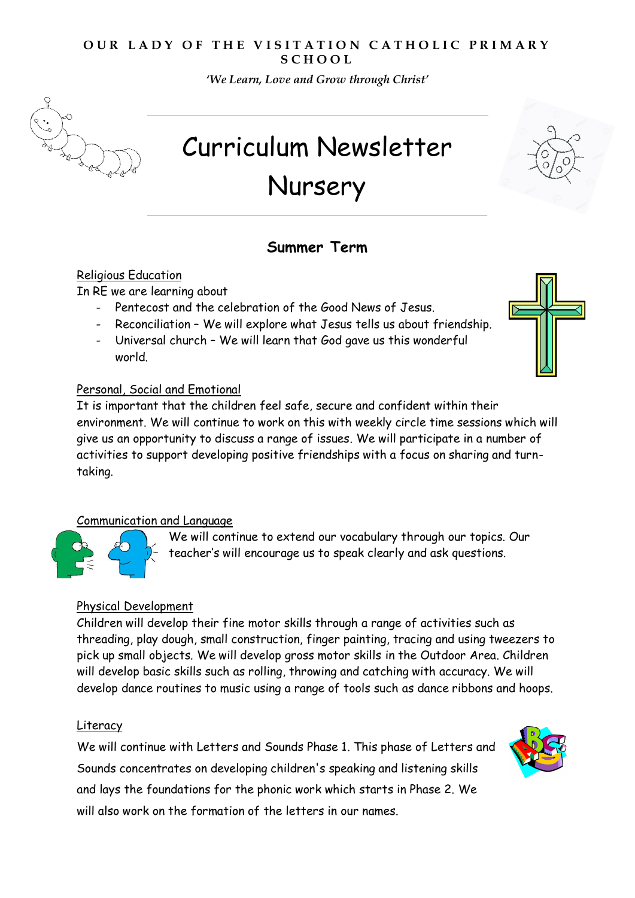### **OUR LADY OF THE VISITATION CATHOLIC PRIMARY S C H O O L**

*'We Learn, Love and Grow through Christ'* 



# Curriculum Newsletter Nursery

## **Summer Term**

#### Religious Education

In RE we are learning about

- Pentecost and the celebration of the Good News of Jesus.
- Reconciliation We will explore what Jesus tells us about friendship.
- Universal church We will learn that God gave us this wonderful world.

#### Personal, Social and Emotional

It is important that the children feel safe, secure and confident within their environment. We will continue to work on this with weekly circle time sessions which will give us an opportunity to discuss a range of issues. We will participate in a number of activities to support developing positive friendships with a focus on sharing and turntaking.

#### Communication and Language

We will continue to extend our vocabulary through our topics. Our teacher's will encourage us to speak clearly and ask questions.

#### Physical Development

Children will develop their fine motor skills through a range of activities such as threading, play dough, small construction, finger painting, tracing and using tweezers to pick up small objects. We will develop gross motor skills in the Outdoor Area. Children will develop basic skills such as rolling, throwing and catching with accuracy. We will develop dance routines to music using a range of tools such as dance ribbons and hoops.

#### Literacy

We will continue with Letters and Sounds Phase 1. This phase of Letters and Sounds concentrates on developing children's speaking and listening skills and lays the foundations for the phonic work which starts in Phase 2. We will also work on the formation of the letters in our names.